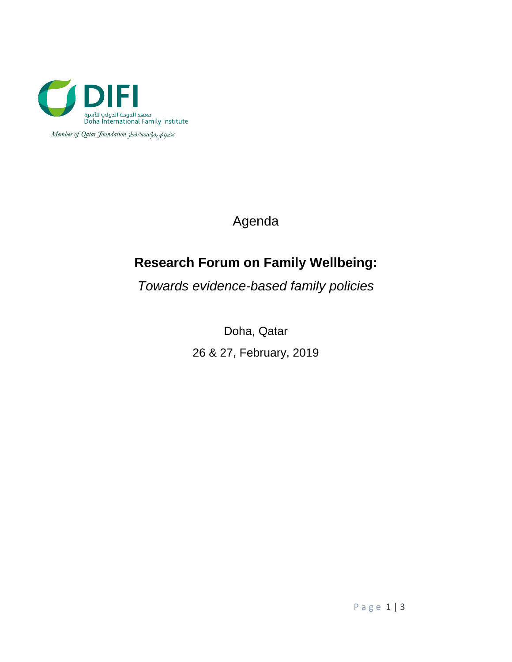

Member of Qatar Joundation Joo awwoo

Agenda

# **Research Forum on Family Wellbeing:**

*Towards evidence-based family policies* 

Doha, Qatar 26 & 27, February, 2019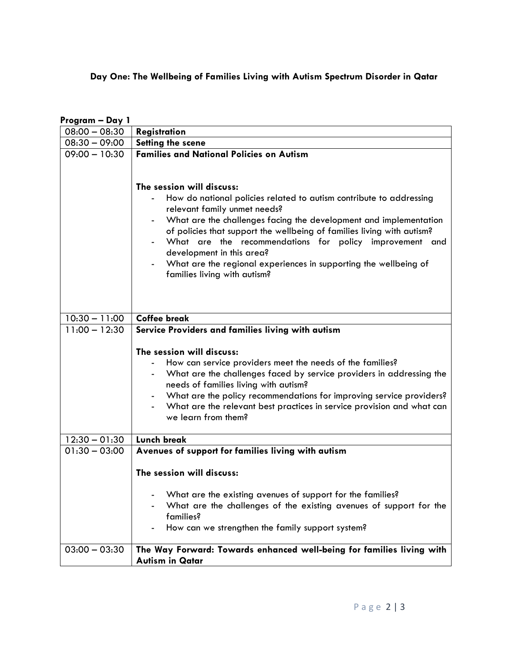## **Day One: The Wellbeing of Families Living with Autism Spectrum Disorder in Qatar**

| Program - Day 1 |                                                                                                                                                                                                                                                                                                                                                                                                                                                   |
|-----------------|---------------------------------------------------------------------------------------------------------------------------------------------------------------------------------------------------------------------------------------------------------------------------------------------------------------------------------------------------------------------------------------------------------------------------------------------------|
| $08:00 - 08:30$ | Registration                                                                                                                                                                                                                                                                                                                                                                                                                                      |
| $08:30 - 09:00$ | Setting the scene                                                                                                                                                                                                                                                                                                                                                                                                                                 |
| $09:00 - 10:30$ | <b>Families and National Policies on Autism</b><br>The session will discuss:                                                                                                                                                                                                                                                                                                                                                                      |
|                 | How do national policies related to autism contribute to addressing<br>relevant family unmet needs?<br>What are the challenges facing the development and implementation<br>of policies that support the wellbeing of families living with autism?<br>What are the recommendations for policy improvement<br>and<br>development in this area?<br>What are the regional experiences in supporting the wellbeing of<br>families living with autism? |
| $10:30 - 11:00$ | <b>Coffee break</b>                                                                                                                                                                                                                                                                                                                                                                                                                               |
| $11:00 - 12:30$ | Service Providers and families living with autism                                                                                                                                                                                                                                                                                                                                                                                                 |
|                 | The session will discuss:<br>How can service providers meet the needs of the families?<br>What are the challenges faced by service providers in addressing the<br>needs of families living with autism?<br>What are the policy recommendations for improving service providers?<br>What are the relevant best practices in service provision and what can<br>we learn from them?                                                                  |
| $12:30 - 01:30$ | <b>Lunch break</b>                                                                                                                                                                                                                                                                                                                                                                                                                                |
| $01:30 - 03:00$ | Avenues of support for families living with autism                                                                                                                                                                                                                                                                                                                                                                                                |
|                 | The session will discuss:                                                                                                                                                                                                                                                                                                                                                                                                                         |
|                 | What are the existing avenues of support for the families?<br>What are the challenges of the existing avenues of support for the<br>families?<br>How can we strengthen the family support system?                                                                                                                                                                                                                                                 |
| $03:00 - 03:30$ | The Way Forward: Towards enhanced well-being for families living with<br><b>Autism in Qatar</b>                                                                                                                                                                                                                                                                                                                                                   |